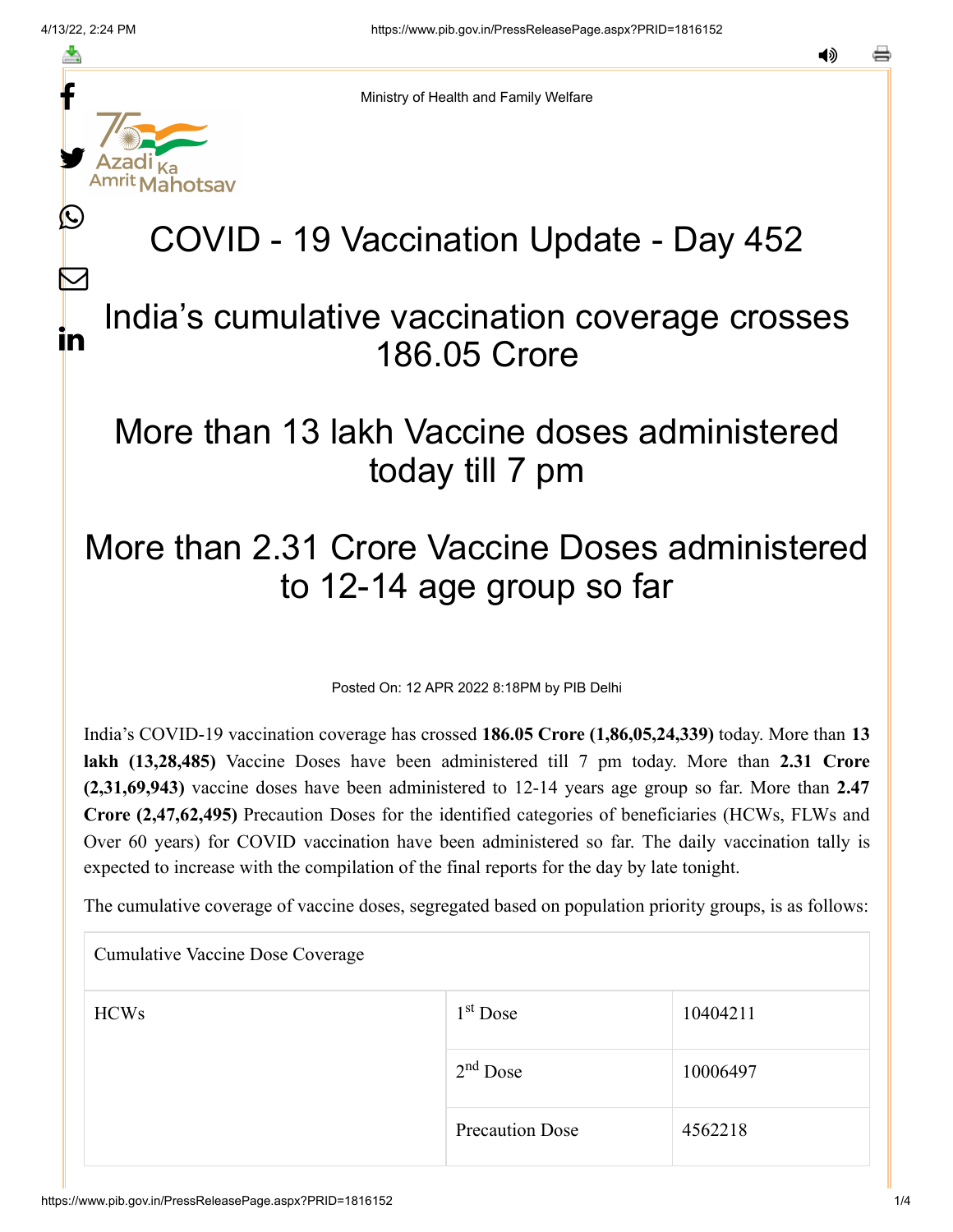f

≛

y.

lahotsav

L

 $\bm{\nabla}$ 

in

Ministry of Health and Family Welfare

# COVID - 19 Vaccination Update - Day 452

#### India's cumulative vaccination coverage crosses 186.05 Crore

### More than 13 lakh Vaccine doses administered today till 7 pm

## More than 2.31 Crore Vaccine Doses administered to 12-14 age group so far

Posted On: 12 APR 2022 8:18PM by PIB Delhi

India's COVID-19 vaccination coverage has crossed **186.05 Crore (1,86,05,24,339)** today. More than **13 lakh (13,28,485)** Vaccine Doses have been administered till 7 pm today. More than **2.31 Crore (2,31,69,943)** vaccine doses have been administered to 12-14 years age group so far. More than **2.47 Crore (2,47,62,495)** Precaution Doses for the identified categories of beneficiaries (HCWs, FLWs and Over 60 years) for COVID vaccination have been administered so far. The daily vaccination tally is expected to increase with the compilation of the final reports for the day by late tonight.

The cumulative coverage of vaccine doses, segregated based on population priority groups, is as follows:

| <b>Cumulative Vaccine Dose Coverage</b> |                        |          |  |  |
|-----------------------------------------|------------------------|----------|--|--|
| <b>HCWs</b>                             | $1st$ Dose             | 10404211 |  |  |
|                                         | $2nd$ Dose             | 10006497 |  |  |
|                                         | <b>Precaution Dose</b> | 4562218  |  |  |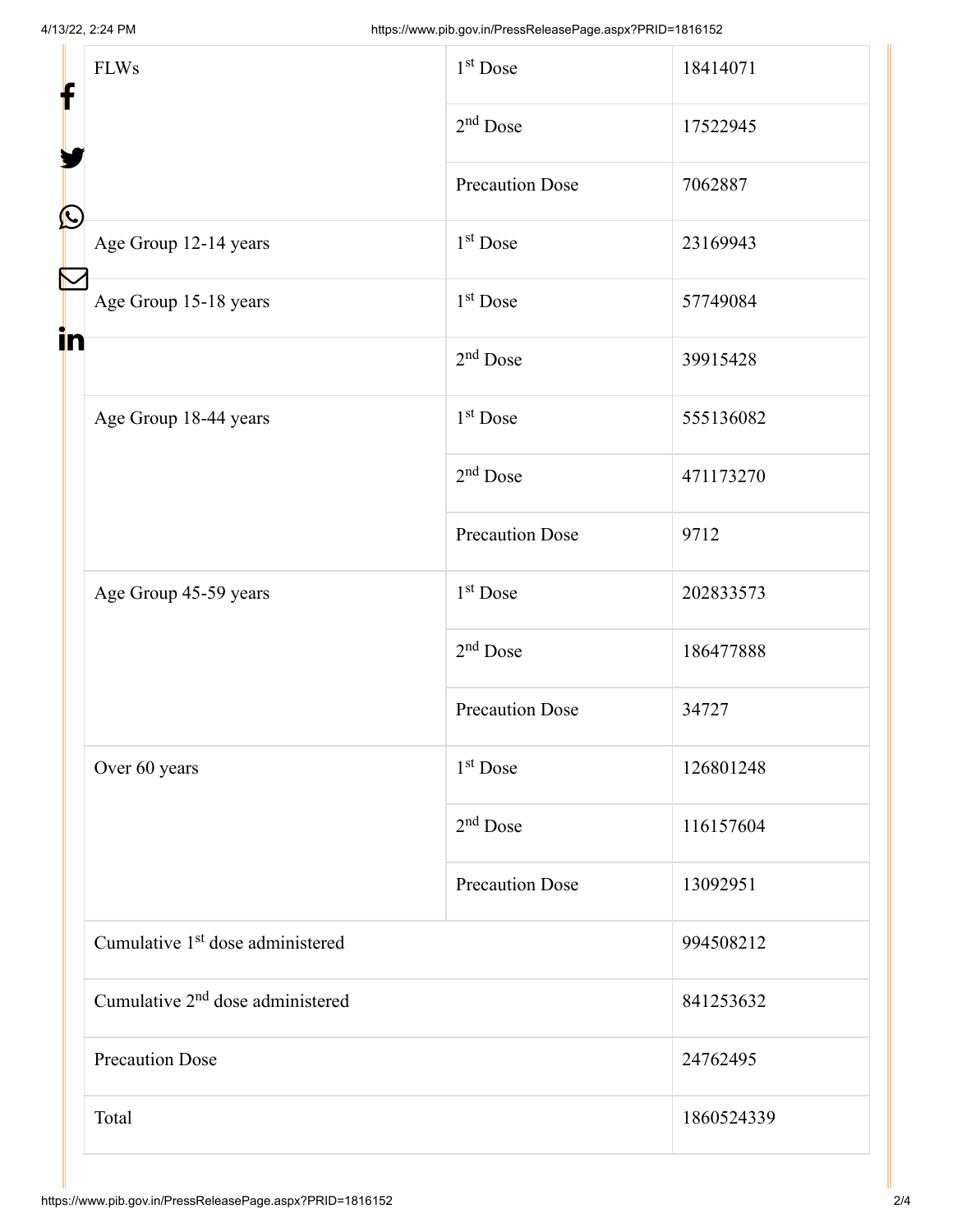| f                 | <b>FLWs</b>                                  | 1 <sup>st</sup> Dose   | 18414071   |  |
|-------------------|----------------------------------------------|------------------------|------------|--|
|                   |                                              | $2nd$ Dose             | 17522945   |  |
| $\mathbf{\Omega}$ |                                              | <b>Precaution Dose</b> | 7062887    |  |
|                   | Age Group 12-14 years                        | 1 <sup>st</sup> Dose   | 23169943   |  |
|                   | Age Group 15-18 years                        | $1st$ Dose             | 57749084   |  |
| in                |                                              | $2nd$ Dose             | 39915428   |  |
|                   | Age Group 18-44 years                        | 1 <sup>st</sup> Dose   | 555136082  |  |
|                   |                                              | $2nd$ Dose             | 471173270  |  |
|                   |                                              | <b>Precaution Dose</b> | 9712       |  |
|                   | Age Group 45-59 years                        | $1st$ Dose             | 202833573  |  |
|                   |                                              | $2nd$ Dose             | 186477888  |  |
|                   |                                              | <b>Precaution Dose</b> | 34727      |  |
|                   | Over 60 years                                | 1 <sup>st</sup> Dose   | 126801248  |  |
|                   |                                              | $2nd$ Dose             | 116157604  |  |
|                   |                                              | <b>Precaution Dose</b> | 13092951   |  |
|                   | Cumulative 1 <sup>st</sup> dose administered |                        | 994508212  |  |
|                   | Cumulative 2 <sup>nd</sup> dose administered |                        | 841253632  |  |
|                   | <b>Precaution Dose</b><br>24762495           |                        |            |  |
|                   | Total                                        |                        | 1860524339 |  |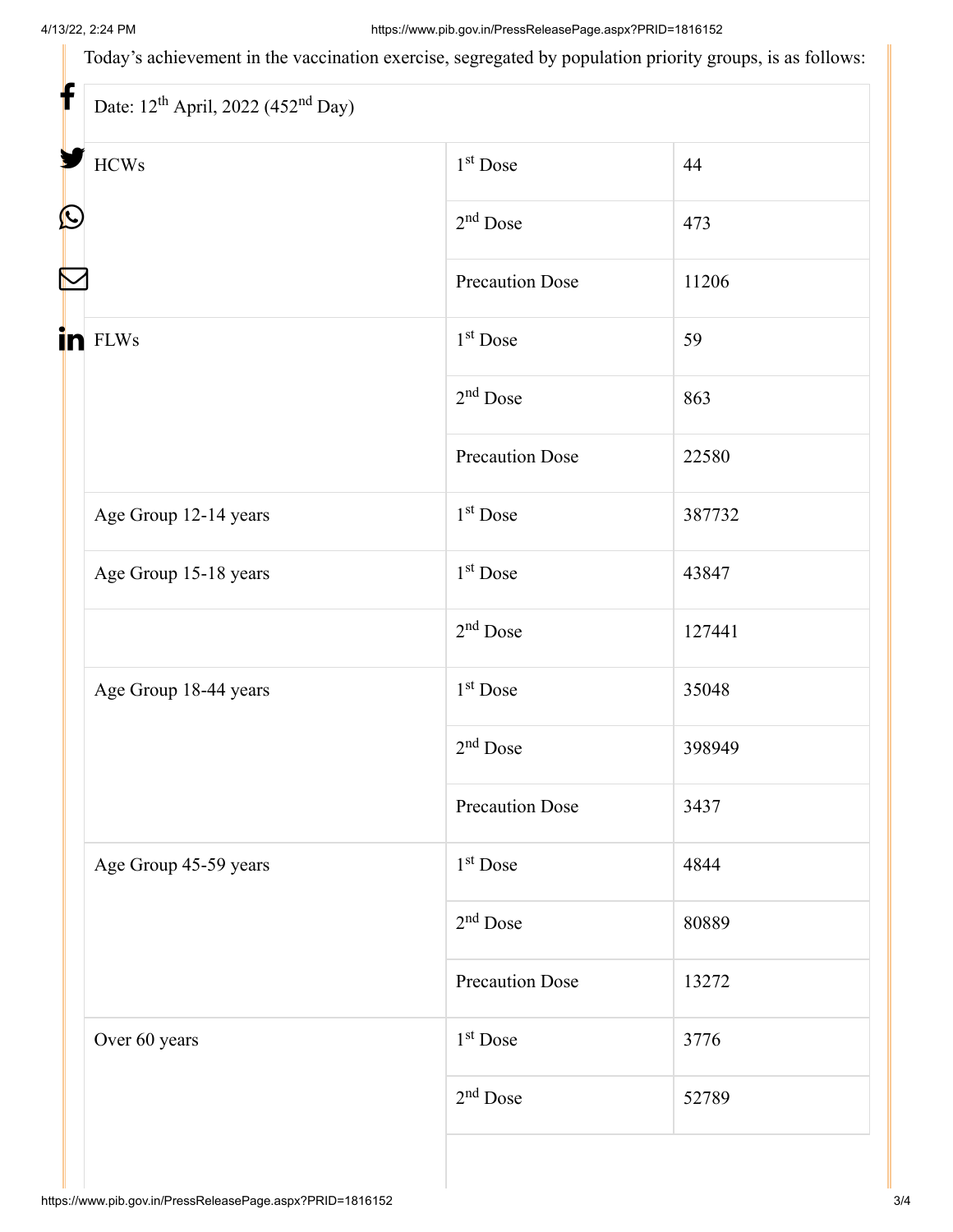Today's achievement in the vaccination exercise, segregated by population priority groups, is as follows:

| <b>HCWs</b>           | $1st$ Dose             | 44     |
|-----------------------|------------------------|--------|
|                       | $2nd$ Dose             | 473    |
|                       | <b>Precaution Dose</b> | 11206  |
| in FLWs               | $1st$ Dose             | 59     |
|                       | $2nd$ Dose             | 863    |
|                       | <b>Precaution Dose</b> | 22580  |
| Age Group 12-14 years | $1st$ Dose             | 387732 |
| Age Group 15-18 years | $1st$ Dose             | 43847  |
|                       | $2nd$ Dose             | 127441 |
| Age Group 18-44 years | $1st$ Dose             | 35048  |
|                       | $2nd$ Dose             | 398949 |
|                       | <b>Precaution Dose</b> | 3437   |
| Age Group 45-59 years | $1st$ Dose             | 4844   |
|                       | $2nd$ Dose             | 80889  |
|                       | <b>Precaution Dose</b> | 13272  |
| Over 60 years         | $1st$ Dose             | 3776   |
|                       | $2nd$ Dose             | 52789  |